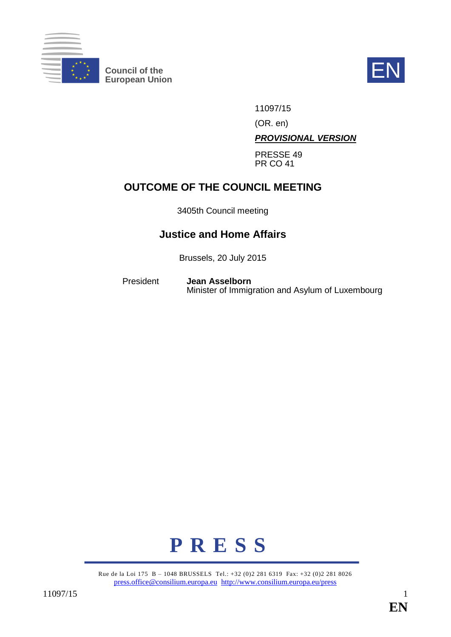

**Council of the EN**<br>European Union



11097/15

(OR. en)

*PROVISIONAL VERSION*

PRESSE 49 PR CO 41

# **OUTCOME OF THE COUNCIL MEETING**

3405th Council meeting

## **Justice and Home Affairs**

Brussels, 20 July 2015

President **Jean Asselborn** Minister of Immigration and Asylum of Luxembourg



Rue de la Loi 175 B – 1048 BRUSSELS Tel.: +32 (0)2 281 6319 Fax: +32 (0)2 281 8026 [press.office@consilium.europa.eu](mailto:press.office@consilium.europa.eu) <http://www.consilium.europa.eu/press>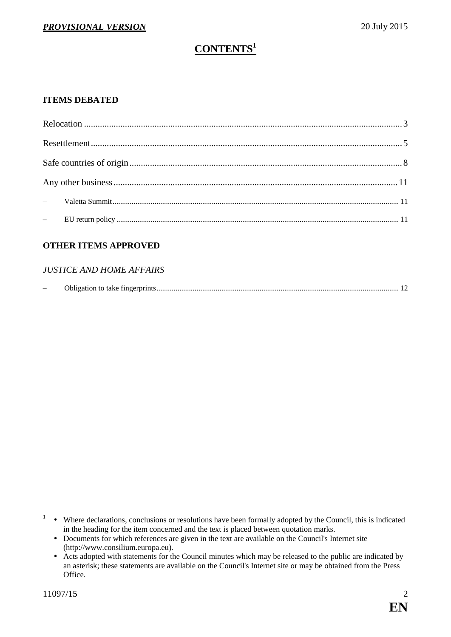# **CONTENTS<sup>1</sup>**

#### **ITEMS DEBATED**

| $\textbf{Research} \textit{.}\textbf{}\textit{.}\textbf{}\textit{.}\textbf{}\textit{.}\textbf{}\textit{.}\textbf{}\textit{.}\textbf{}\textit{.}\textbf{}\textit{.}\textbf{}\textit{.}\textbf{}\textit{.}\textbf{}\textit{.}\textbf{}\textit{.}\textbf{}\textit{.}\textbf{}\textit{.}\textbf{}\textit{.}\textbf{}\textit{.}\textbf{}\textit{.}\textbf{}\textit{.}\textbf{}\textit{.}\textbf{}\textit{.}\textbf{}\textit{.}$ |  |
|----------------------------------------------------------------------------------------------------------------------------------------------------------------------------------------------------------------------------------------------------------------------------------------------------------------------------------------------------------------------------------------------------------------------------|--|
|                                                                                                                                                                                                                                                                                                                                                                                                                            |  |
|                                                                                                                                                                                                                                                                                                                                                                                                                            |  |
|                                                                                                                                                                                                                                                                                                                                                                                                                            |  |
|                                                                                                                                                                                                                                                                                                                                                                                                                            |  |

#### **OTHER ITEMS APPROVED**

#### *JUSTICE AND HOME AFFAIRS*

|  | Obligation to take fingerprints.<br>. |  |  |
|--|---------------------------------------|--|--|
|--|---------------------------------------|--|--|

- <sup>1</sup> Where declarations, conclusions or resolutions have been formally adopted by the Council, this is indicated in the heading for the item concerned and the text is placed between quotation marks.
	- Documents for which references are given in the text are available on the Council's Internet site (http://www.consilium.europa.eu).
	- Acts adopted with statements for the Council minutes which may be released to the public are indicated by an asterisk; these statements are available on the Council's Internet site or may be obtained from the Press Office.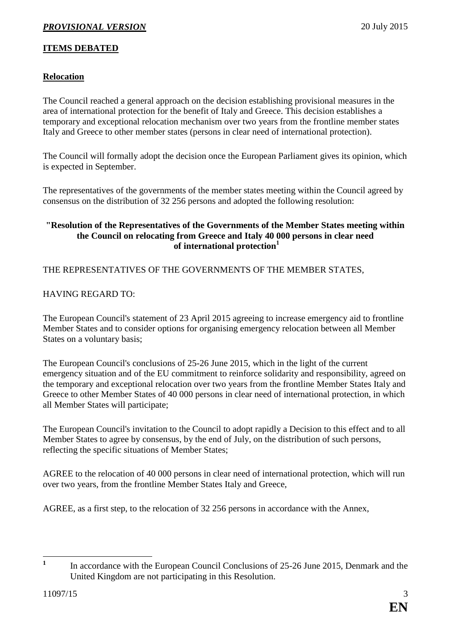## **ITEMS DEBATED**

## <span id="page-2-0"></span>**Relocation**

The Council reached a general approach on the decision establishing provisional measures in the area of international protection for the benefit of Italy and Greece. This decision establishes a temporary and exceptional relocation mechanism over two years from the frontline member states Italy and Greece to other member states (persons in clear need of international protection).

The Council will formally adopt the decision once the European Parliament gives its opinion, which is expected in September.

The representatives of the governments of the member states meeting within the Council agreed by consensus on the distribution of 32 256 persons and adopted the following resolution:

#### **"Resolution of the Representatives of the Governments of the Member States meeting within the Council on relocating from Greece and Italy 40 000 persons in clear need of international protection<sup>1</sup>**

THE REPRESENTATIVES OF THE GOVERNMENTS OF THE MEMBER STATES,

#### HAVING REGARD TO:

The European Council's statement of 23 April 2015 agreeing to increase emergency aid to frontline Member States and to consider options for organising emergency relocation between all Member States on a voluntary basis;

The European Council's conclusions of 25-26 June 2015, which in the light of the current emergency situation and of the EU commitment to reinforce solidarity and responsibility, agreed on the temporary and exceptional relocation over two years from the frontline Member States Italy and Greece to other Member States of 40 000 persons in clear need of international protection, in which all Member States will participate;

The European Council's invitation to the Council to adopt rapidly a Decision to this effect and to all Member States to agree by consensus, by the end of July, on the distribution of such persons, reflecting the specific situations of Member States;

AGREE to the relocation of 40 000 persons in clear need of international protection, which will run over two years, from the frontline Member States Italy and Greece,

AGREE, as a first step, to the relocation of 32 256 persons in accordance with the Annex,

 **1** In accordance with the European Council Conclusions of 25-26 June 2015, Denmark and the United Kingdom are not participating in this Resolution.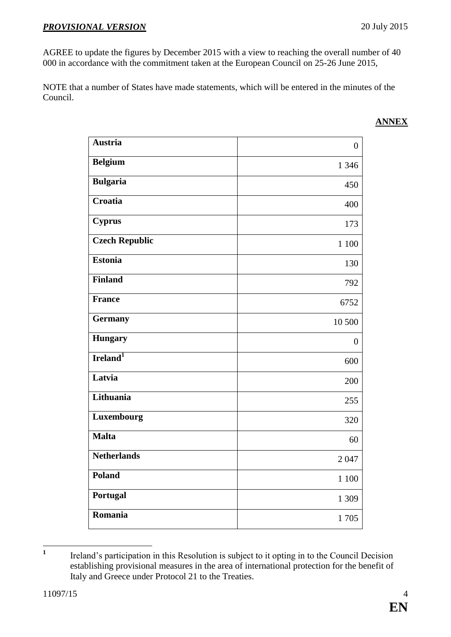AGREE to update the figures by December 2015 with a view to reaching the overall number of 40 000 in accordance with the commitment taken at the European Council on 25-26 June 2015,

NOTE that a number of States have made statements, which will be entered in the minutes of the Council.

| <b>Austria</b>        | $\overline{0}$ |
|-----------------------|----------------|
| <b>Belgium</b>        | 1 3 4 6        |
| <b>Bulgaria</b>       | 450            |
| Croatia               | 400            |
| <b>Cyprus</b>         | 173            |
| <b>Czech Republic</b> | 1 100          |
| <b>Estonia</b>        | 130            |
| <b>Finland</b>        | 792            |
| <b>France</b>         | 6752           |
| <b>Germany</b>        | 10 500         |
| <b>Hungary</b>        | $\overline{0}$ |
| Ireland <sup>1</sup>  | 600            |
| Latvia                | 200            |
| Lithuania             | 255            |
| Luxembourg            | 320            |
| <b>Malta</b>          | 60             |
| <b>Netherlands</b>    | 2047           |
| Poland                | 1 100          |
| Portugal              | 1 309          |
| Romania               | 1705           |

#### **ANNEX**

 **1** Ireland's participation in this Resolution is subject to it opting in to the Council Decision establishing provisional measures in the area of international protection for the benefit of Italy and Greece under Protocol 21 to the Treaties.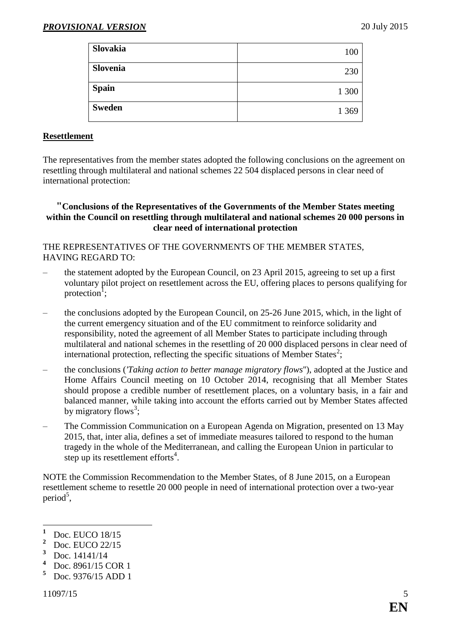| <b>Slovakia</b> | 100     |
|-----------------|---------|
| Slovenia        | 230     |
| <b>Spain</b>    | 1 300   |
| <b>Sweden</b>   | 1 3 6 9 |

#### <span id="page-4-0"></span>**Resettlement**

The representatives from the member states adopted the following conclusions on the agreement on resettling through multilateral and national schemes 22 504 displaced persons in clear need of international protection:

#### **"Conclusions of the Representatives of the Governments of the Member States meeting within the Council on resettling through multilateral and national schemes 20 000 persons in clear need of international protection**

#### THE REPRESENTATIVES OF THE GOVERNMENTS OF THE MEMBER STATES, HAVING REGARD TO:

- the statement adopted by the European Council, on 23 April 2015, agreeing to set up a first voluntary pilot project on resettlement across the EU, offering places to persons qualifying for protection<sup>1</sup>;
- the conclusions adopted by the European Council, on 25-26 June 2015, which, in the light of the current emergency situation and of the EU commitment to reinforce solidarity and responsibility, noted the agreement of all Member States to participate including through multilateral and national schemes in the resettling of 20 000 displaced persons in clear need of international protection, reflecting the specific situations of Member States<sup>2</sup>;
- the conclusions (*'Taking action to better manage migratory flows*''), adopted at the Justice and Home Affairs Council meeting on 10 October 2014, recognising that all Member States should propose a credible number of resettlement places, on a voluntary basis, in a fair and balanced manner, while taking into account the efforts carried out by Member States affected by migratory flows<sup>3</sup>;
- The Commission Communication on a European Agenda on Migration, presented on 13 May 2015, that, inter alia, defines a set of immediate measures tailored to respond to the human tragedy in the whole of the Mediterranean, and calling the European Union in particular to step up its resettlement efforts<sup>4</sup>.

NOTE the Commission Recommendation to the Member States, of 8 June 2015, on a European resettlement scheme to resettle 20 000 people in need of international protection over a two-year period<sup>5</sup>,

<u>.</u>

<sup>&</sup>lt;sup>1</sup> Doc. EUCO 18/15

<sup>&</sup>lt;sup>2</sup> Doc. EUCO 22/15

 $\frac{3}{4}$  Doc. 14141/14

<sup>&</sup>lt;sup>4</sup> Doc. 8961/15 COR 1<br><sup>5</sup> Doc. 9376/15 ADD 1

**<sup>5</sup>** Doc. 9376/15 ADD 1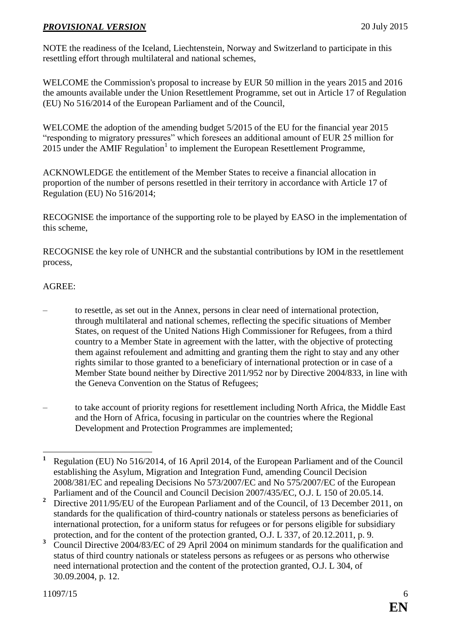NOTE the readiness of the Iceland, Liechtenstein, Norway and Switzerland to participate in this resettling effort through multilateral and national schemes,

WELCOME the Commission's proposal to increase by EUR 50 million in the years 2015 and 2016 the amounts available under the Union Resettlement Programme, set out in Article 17 of Regulation (EU) No 516/2014 of the European Parliament and of the Council,

WELCOME the adoption of the amending budget 5/2015 of the EU for the financial year 2015 "responding to migratory pressures" which foresees an additional amount of EUR 25 million for 2015 under the AMIF Regulation<sup>1</sup> to implement the European Resettlement Programme,

ACKNOWLEDGE the entitlement of the Member States to receive a financial allocation in proportion of the number of persons resettled in their territory in accordance with Article 17 of Regulation (EU) No 516/2014;

RECOGNISE the importance of the supporting role to be played by EASO in the implementation of this scheme,

RECOGNISE the key role of UNHCR and the substantial contributions by IOM in the resettlement process,

#### AGREE:

- to resettle, as set out in the Annex, persons in clear need of international protection, through multilateral and national schemes, reflecting the specific situations of Member States, on request of the United Nations High Commissioner for Refugees, from a third country to a Member State in agreement with the latter, with the objective of protecting them against refoulement and admitting and granting them the right to stay and any other rights similar to those granted to a beneficiary of international protection or in case of a Member State bound neither by Directive 2011/952 nor by Directive 2004/833, in line with the Geneva Convention on the Status of Refugees;
- to take account of priority regions for resettlement including North Africa, the Middle East and the Horn of Africa, focusing in particular on the countries where the Regional Development and Protection Programmes are implemented;

<sup>&</sup>lt;u>.</u> **<sup>1</sup>** Regulation (EU) No 516/2014, of 16 April 2014, of the European Parliament and of the Council establishing the Asylum, Migration and Integration Fund, amending Council Decision 2008/381/EC and repealing Decisions No 573/2007/EC and No 575/2007/EC of the European Parliament and of the Council and Council Decision 2007/435/EC, O.J. L 150 of 20.05.14.

<sup>&</sup>lt;sup>2</sup> Directive 2011/95/EU of the European Parliament and of the Council, of 13 December 2011, on standards for the qualification of third-country nationals or stateless persons as beneficiaries of international protection, for a uniform status for refugees or for persons eligible for subsidiary protection, and for the content of the protection granted, O.J. L 337, of 20.12.2011, p. 9.

**<sup>3</sup>** Council Directive 2004/83/EC of 29 April 2004 on minimum standards for the qualification and status of third country nationals or stateless persons as refugees or as persons who otherwise need international protection and the content of the protection granted, O.J. L 304, of 30.09.2004, p. 12.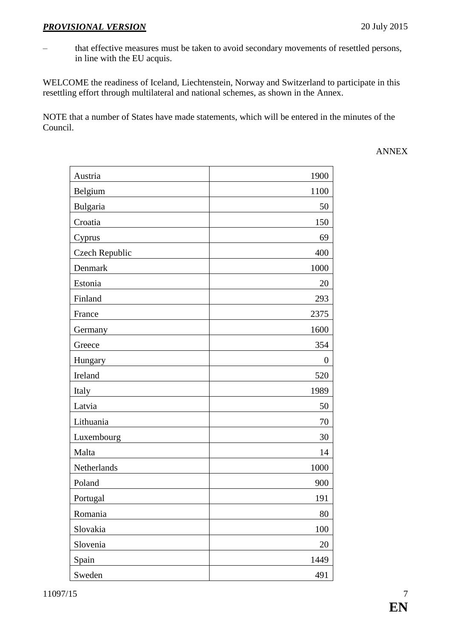– that effective measures must be taken to avoid secondary movements of resettled persons, in line with the EU acquis.

WELCOME the readiness of Iceland, Liechtenstein, Norway and Switzerland to participate in this resettling effort through multilateral and national schemes, as shown in the Annex.

NOTE that a number of States have made statements, which will be entered in the minutes of the Council.

ANNEX

| Austria               | 1900     |
|-----------------------|----------|
| Belgium               | 1100     |
| Bulgaria              | 50       |
| Croatia               | 150      |
| Cyprus                | 69       |
| <b>Czech Republic</b> | 400      |
| Denmark               | 1000     |
| Estonia               | 20       |
| Finland               | 293      |
| France                | 2375     |
| Germany               | 1600     |
| Greece                | 354      |
| Hungary               | $\theta$ |
| Ireland               | 520      |
| Italy                 | 1989     |
| Latvia                | 50       |
| Lithuania             | 70       |
| Luxembourg            | 30       |
| Malta                 | 14       |
| Netherlands           | 1000     |
| Poland                | 900      |
| Portugal              | 191      |
| Romania               | 80       |
| Slovakia              | 100      |
| Slovenia              | 20       |
| Spain                 | 1449     |
| Sweden                | 491      |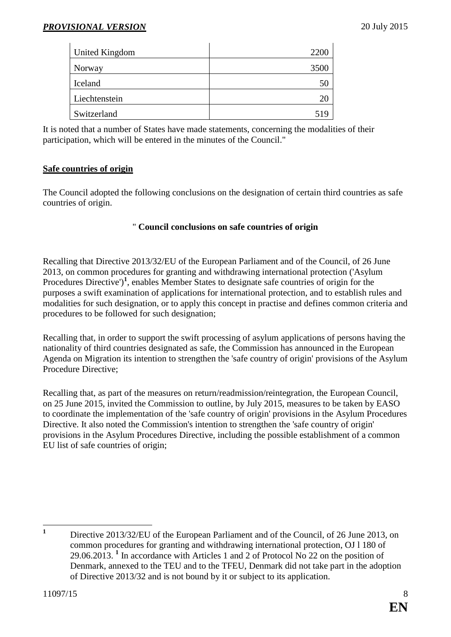| United Kingdom | 2200 |
|----------------|------|
| Norway         | 3500 |
| Iceland        | ЭU   |
| Liechtenstein  | ΖŪ   |
| Switzerland    |      |

It is noted that a number of States have made statements, concerning the modalities of their participation, which will be entered in the minutes of the Council."

#### <span id="page-7-0"></span>**Safe countries of origin**

The Council adopted the following conclusions on the designation of certain third countries as safe countries of origin.

#### " **Council conclusions on safe countries of origin**

Recalling that Directive 2013/32/EU of the European Parliament and of the Council, of 26 June 2013, on common procedures for granting and withdrawing international protection ('Asylum Procedures Directive')<sup>1</sup>, enables Member States to designate safe countries of origin for the purposes a swift examination of applications for international protection, and to establish rules and modalities for such designation, or to apply this concept in practise and defines common criteria and procedures to be followed for such designation;

Recalling that, in order to support the swift processing of asylum applications of persons having the nationality of third countries designated as safe, the Commission has announced in the European Agenda on Migration its intention to strengthen the 'safe country of origin' provisions of the Asylum Procedure Directive;

Recalling that, as part of the measures on return/readmission/reintegration, the European Council, on 25 June 2015, invited the Commission to outline, by July 2015, measures to be taken by EASO to coordinate the implementation of the 'safe country of origin' provisions in the Asylum Procedures Directive. It also noted the Commission's intention to strengthen the 'safe country of origin' provisions in the Asylum Procedures Directive, including the possible establishment of a common EU list of safe countries of origin;

 $\mathbf{1}$ **<sup>1</sup>** Directive 2013/32/EU of the European Parliament and of the Council, of 26 June 2013, on common procedures for granting and withdrawing international protection, OJ l 180 of 29.06.2013. **<sup>1</sup>** In accordance with Articles 1 and 2 of Protocol No 22 on the position of Denmark, annexed to the TEU and to the TFEU, Denmark did not take part in the adoption of Directive 2013/32 and is not bound by it or subject to its application.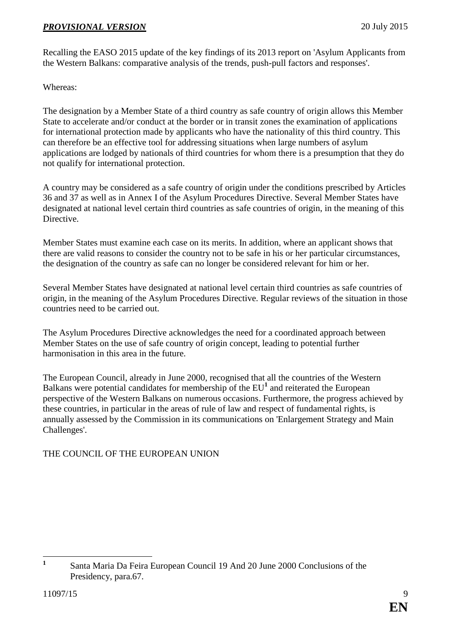Recalling the EASO 2015 update of the key findings of its 2013 report on 'Asylum Applicants from the Western Balkans: comparative analysis of the trends, push-pull factors and responses'.

Whereas:

The designation by a Member State of a third country as safe country of origin allows this Member State to accelerate and/or conduct at the border or in transit zones the examination of applications for international protection made by applicants who have the nationality of this third country. This can therefore be an effective tool for addressing situations when large numbers of asylum applications are lodged by nationals of third countries for whom there is a presumption that they do not qualify for international protection.

A country may be considered as a safe country of origin under the conditions prescribed by Articles 36 and 37 as well as in Annex I of the Asylum Procedures Directive. Several Member States have designated at national level certain third countries as safe countries of origin, in the meaning of this Directive.

Member States must examine each case on its merits. In addition, where an applicant shows that there are valid reasons to consider the country not to be safe in his or her particular circumstances, the designation of the country as safe can no longer be considered relevant for him or her.

Several Member States have designated at national level certain third countries as safe countries of origin, in the meaning of the Asylum Procedures Directive. Regular reviews of the situation in those countries need to be carried out.

The Asylum Procedures Directive acknowledges the need for a coordinated approach between Member States on the use of safe country of origin concept, leading to potential further harmonisation in this area in the future.

The European Council, already in June 2000, recognised that all the countries of the Western Balkans were potential candidates for membership of the EU<sup>1</sup> and reiterated the European perspective of the Western Balkans on numerous occasions. Furthermore, the progress achieved by these countries, in particular in the areas of rule of law and respect of fundamental rights, is annually assessed by the Commission in its communications on 'Enlargement Strategy and Main Challenges'.

## THE COUNCIL OF THE EUROPEAN UNION

 **1** Santa Maria Da Feira European Council 19 And 20 June 2000 Conclusions of the Presidency, para.67.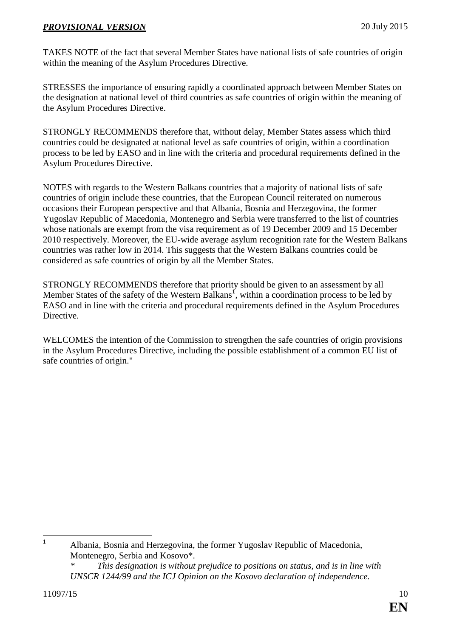TAKES NOTE of the fact that several Member States have national lists of safe countries of origin within the meaning of the Asylum Procedures Directive.

STRESSES the importance of ensuring rapidly a coordinated approach between Member States on the designation at national level of third countries as safe countries of origin within the meaning of the Asylum Procedures Directive.

STRONGLY RECOMMENDS therefore that, without delay, Member States assess which third countries could be designated at national level as safe countries of origin, within a coordination process to be led by EASO and in line with the criteria and procedural requirements defined in the Asylum Procedures Directive.

NOTES with regards to the Western Balkans countries that a majority of national lists of safe countries of origin include these countries, that the European Council reiterated on numerous occasions their European perspective and that Albania, Bosnia and Herzegovina, the former Yugoslav Republic of Macedonia, Montenegro and Serbia were transferred to the list of countries whose nationals are exempt from the visa requirement as of 19 December 2009 and 15 December 2010 respectively. Moreover, the EU-wide average asylum recognition rate for the Western Balkans countries was rather low in 2014. This suggests that the Western Balkans countries could be considered as safe countries of origin by all the Member States.

STRONGLY RECOMMENDS therefore that priority should be given to an assessment by all Member States of the safety of the Western Balkans**<sup>1</sup>** , within a coordination process to be led by EASO and in line with the criteria and procedural requirements defined in the Asylum Procedures Directive.

WELCOMES the intention of the Commission to strengthen the safe countries of origin provisions in the Asylum Procedures Directive, including the possible establishment of a common EU list of safe countries of origin."

 $\mathbf{1}$ **<sup>1</sup>** Albania, Bosnia and Herzegovina, the former Yugoslav Republic of Macedonia, Montenegro, Serbia and Kosovo\*.

*This designation is without prejudice to positions on status, and is in line with UNSCR 1244/99 and the ICJ Opinion on the Kosovo declaration of independence.*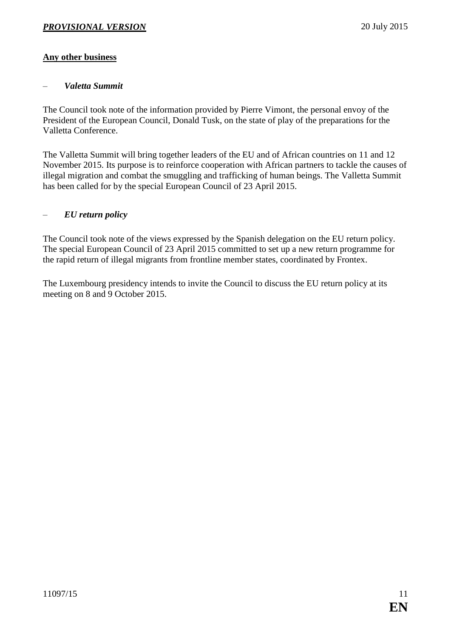## <span id="page-10-0"></span>**Any other business**

#### <span id="page-10-1"></span>– *Valetta Summit*

The Council took note of the information provided by Pierre Vimont, the personal envoy of the President of the European Council, Donald Tusk, on the state of play of the preparations for the Valletta Conference.

The Valletta Summit will bring together leaders of the EU and of African countries on 11 and 12 November 2015. Its purpose is to reinforce cooperation with African partners to tackle the causes of illegal migration and combat the smuggling and trafficking of human beings. The Valletta Summit has been called for by the special European Council of 23 April 2015.

#### <span id="page-10-2"></span>– *EU return policy*

The Council took note of the views expressed by the Spanish delegation on the EU return policy. The special European Council of 23 April 2015 committed to set up a new return programme for the rapid return of illegal migrants from frontline member states, coordinated by Frontex.

The Luxembourg presidency intends to invite the Council to discuss the EU return policy at its meeting on 8 and 9 October 2015.